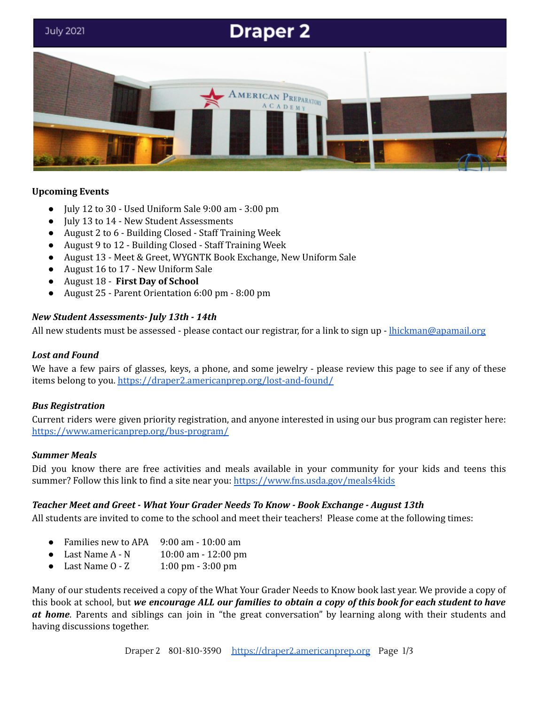# **Draper 2**



#### **Upcoming Events**

- July 12 to 30 Used Uniform Sale 9:00 am 3:00 pm
- July 13 to 14 New Student Assessments
- August 2 to 6 Building Closed Staff Training Week
- August 9 to 12 Building Closed Staff Training Week
- August 13 Meet & Greet, WYGNTK Book Exchange, New Uniform Sale
- August 16 to 17 New Uniform Sale
- August 18 **First Day of School**
- August 25 Parent Orientation 6:00 pm 8:00 pm

#### *New Student Assessments- July 13th - 14th*

All new students must be assessed - please contact our registrar, for a link to sign up - [lhickman@apamail.org](mailto:lhickman@apamail.org)

#### *Lost and Found*

We have a few pairs of glasses, keys, a phone, and some jewelry - please review this page to see if any of these items belong to you. <https://draper2.americanprep.org/lost-and-found/>

#### *Bus Registration*

Current riders were given priority registration, and anyone interested in using our bus program can register here: <https://www.americanprep.org/bus-program/>

#### *Summer Meals*

Did you know there are free activities and meals available in your community for your kids and teens this summer? Follow this link to find a site near you: <https://www.fns.usda.gov/meals4kids>

#### *Teacher Meet and Greet - What Your Grader Needs To Know - Book Exchange - August 13th*

All students are invited to come to the school and meet their teachers! Please come at the following times:

- Families new to APA 9:00 am 10:00 am
- Last Name A N 10:00 am 12:00 pm
- Last Name 0 Z 1:00 pm 3:00 pm

Many of our students received a copy of the What Your Grader Needs to Know book last year. We provide a copy of this book at school, but we encourage ALL our families to obtain a copy of this book for each student to have *at home*. Parents and siblings can join in "the great conversation" by learning along with their students and having discussions together.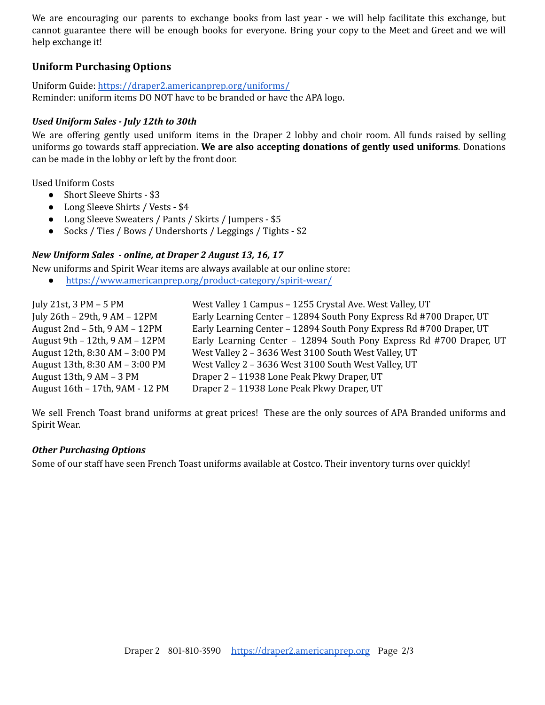We are encouraging our parents to exchange books from last year - we will help facilitate this exchange, but cannot guarantee there will be enough books for everyone. Bring your copy to the Meet and Greet and we will help exchange it!

# **Uniform Purchasing Options**

Uniform Guide: <https://draper2.americanprep.org/uniforms/> Reminder: uniform items DO NOT have to be branded or have the APA logo.

### *Used Uniform Sales - July 12th to 30th*

We are offering gently used uniform items in the Draper 2 lobby and choir room. All funds raised by selling uniforms go towards staff appreciation. **We are also accepting donations of gently used uniforms**. Donations can be made in the lobby or left by the front door.

Used Uniform Costs

- Short Sleeve Shirts \$3
- Long Sleeve Shirts / Vests \$4
- Long Sleeve Sweaters / Pants / Skirts / Jumpers \$5
- Socks / Ties / Bows / Undershorts / Leggings / Tights \$2

## *New Uniform Sales - online, at Draper 2 August 13, 16, 17*

New uniforms and Spirit Wear items are always available at our online store:

● <https://www.americanprep.org/product-category/spirit-wear/>

| July 21st, $3 PM - 5 PM$          | West Valley 1 Campus - 1255 Crystal Ave. West Valley, UT            |
|-----------------------------------|---------------------------------------------------------------------|
| July 26th - 29th, 9 AM - 12PM     | Early Learning Center - 12894 South Pony Express Rd #700 Draper, UT |
| August $2nd - 5th$ , $9AM - 12PM$ | Early Learning Center - 12894 South Pony Express Rd #700 Draper, UT |
| August 9th - 12th, 9 AM - 12PM    | Early Learning Center - 12894 South Pony Express Rd #700 Draper, UT |
| August 12th, 8:30 AM - 3:00 PM    | West Valley 2 - 3636 West 3100 South West Valley, UT                |
| August 13th, 8:30 AM - 3:00 PM    | West Valley 2 - 3636 West 3100 South West Valley, UT                |
| August 13th, $9AM - 3PM$          | Draper 2 - 11938 Lone Peak Pkwy Draper, UT                          |
| August 16th - 17th, 9AM - 12 PM   | Draper 2 - 11938 Lone Peak Pkwy Draper, UT                          |

We sell French Toast brand uniforms at great prices! These are the only sources of APA Branded uniforms and Spirit Wear.

#### *Other Purchasing Options*

Some of our staff have seen French Toast uniforms available at Costco. Their inventory turns over quickly!